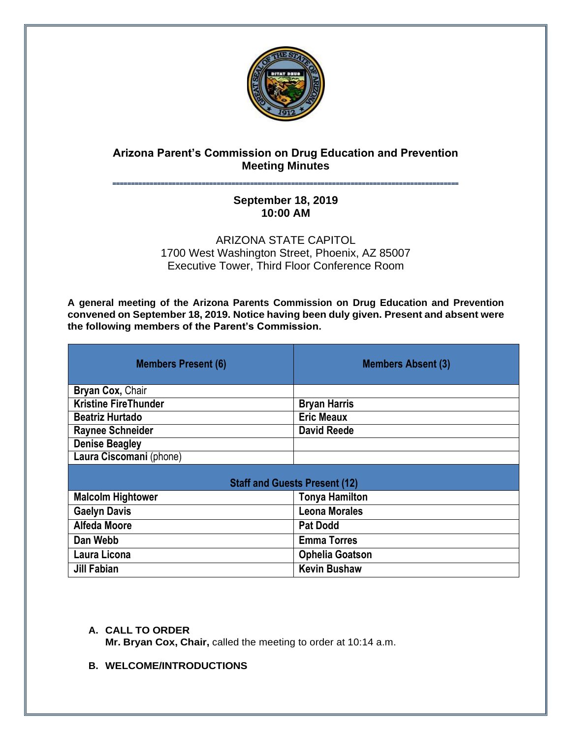

# **Arizona Parent's Commission on Drug Education and Prevention Meeting Minutes**

## **˭˭˭˭˭˭˭˭˭˭˭˭˭˭˭˭˭˭˭˭˭˭˭˭˭˭˭˭˭˭˭˭˭˭˭˭˭˭˭˭˭˭˭˭˭˭˭˭˭˭˭˭˭˭˭˭˭˭˭˭˭˭˭˭˭˭˭˭˭˭˭˭˭˭˭˭˭˭˭˭˭˭˭˭˭˭˭˭˭˭˭˭˭ September 18, 2019 10:00 AM**

ARIZONA STATE CAPITOL 1700 West Washington Street, Phoenix, AZ 85007 Executive Tower, Third Floor Conference Room

**A general meeting of the Arizona Parents Commission on Drug Education and Prevention convened on September 18, 2019. Notice having been duly given. Present and absent were the following members of the Parent's Commission.**

| <b>Members Present (6)</b>           | <b>Members Absent (3)</b> |
|--------------------------------------|---------------------------|
| Bryan Cox, Chair                     |                           |
| <b>Kristine FireThunder</b>          | <b>Bryan Harris</b>       |
| <b>Beatriz Hurtado</b>               | <b>Eric Meaux</b>         |
| <b>Raynee Schneider</b>              | <b>David Reede</b>        |
| <b>Denise Beagley</b>                |                           |
| Laura Ciscomani (phone)              |                           |
| <b>Staff and Guests Present (12)</b> |                           |
| <b>Malcolm Hightower</b>             | <b>Tonya Hamilton</b>     |
| <b>Gaelyn Davis</b>                  | <b>Leona Morales</b>      |
| <b>Alfeda Moore</b>                  | <b>Pat Dodd</b>           |
| Dan Webb                             | <b>Emma Torres</b>        |
| Laura Licona                         | <b>Ophelia Goatson</b>    |
| <b>Jill Fabian</b>                   | <b>Kevin Bushaw</b>       |

## **A. CALL TO ORDER**

**Mr. Bryan Cox, Chair,** called the meeting to order at 10:14 a.m.

**B. WELCOME/INTRODUCTIONS**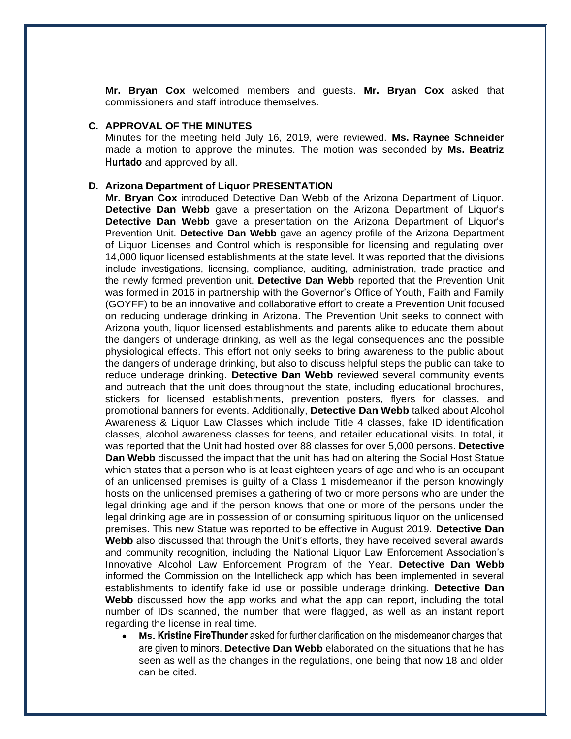**Mr. Bryan Cox** welcomed members and guests. **Mr. Bryan Cox** asked that commissioners and staff introduce themselves.

#### **C. APPROVAL OF THE MINUTES**

Minutes for the meeting held July 16, 2019, were reviewed. **Ms. Raynee Schneider** made a motion to approve the minutes. The motion was seconded by **Ms. Beatriz Hurtado** and approved by all.

#### **D. Arizona Department of Liquor PRESENTATION**

**Mr. Bryan Cox** introduced Detective Dan Webb of the Arizona Department of Liquor. **Detective Dan Webb** gave a presentation on the Arizona Department of Liquor's **Detective Dan Webb** gave a presentation on the Arizona Department of Liquor's Prevention Unit. **Detective Dan Webb** gave an agency profile of the Arizona Department of Liquor Licenses and Control which is responsible for licensing and regulating over 14,000 liquor licensed establishments at the state level. It was reported that the divisions include investigations, licensing, compliance, auditing, administration, trade practice and the newly formed prevention unit. **Detective Dan Webb** reported that the Prevention Unit was formed in 2016 in partnership with the Governor's Office of Youth, Faith and Family (GOYFF) to be an innovative and collaborative effort to create a Prevention Unit focused on reducing underage drinking in Arizona. The Prevention Unit seeks to connect with Arizona youth, liquor licensed establishments and parents alike to educate them about the dangers of underage drinking, as well as the legal consequences and the possible physiological effects. This effort not only seeks to bring awareness to the public about the dangers of underage drinking, but also to discuss helpful steps the public can take to reduce underage drinking. **Detective Dan Webb** reviewed several community events and outreach that the unit does throughout the state, including educational brochures, stickers for licensed establishments, prevention posters, flyers for classes, and promotional banners for events. Additionally, **Detective Dan Webb** talked about Alcohol Awareness & Liquor Law Classes which include Title 4 classes, fake ID identification classes, alcohol awareness classes for teens, and retailer educational visits. In total, it was reported that the Unit had hosted over 88 classes for over 5,000 persons. **Detective Dan Webb** discussed the impact that the unit has had on altering the Social Host Statue which states that a person who is at least eighteen years of age and who is an occupant of an unlicensed premises is guilty of a Class 1 misdemeanor if the person knowingly hosts on the unlicensed premises a gathering of two or more persons who are under the legal drinking age and if the person knows that one or more of the persons under the legal drinking age are in possession of or consuming spirituous liquor on the unlicensed premises. This new Statue was reported to be effective in August 2019. **Detective Dan Webb** also discussed that through the Unit's efforts, they have received several awards and community recognition, including the National Liquor Law Enforcement Association's Innovative Alcohol Law Enforcement Program of the Year. **Detective Dan Webb** informed the Commission on the Intellicheck app which has been implemented in several establishments to identify fake id use or possible underage drinking. **Detective Dan Webb** discussed how the app works and what the app can report, including the total number of IDs scanned, the number that were flagged, as well as an instant report regarding the license in real time.

• **Ms. Kristine FireThunder** asked for further clarification on the misdemeanor charges that are given to minors. **Detective Dan Webb** elaborated on the situations that he has seen as well as the changes in the regulations, one being that now 18 and older can be cited.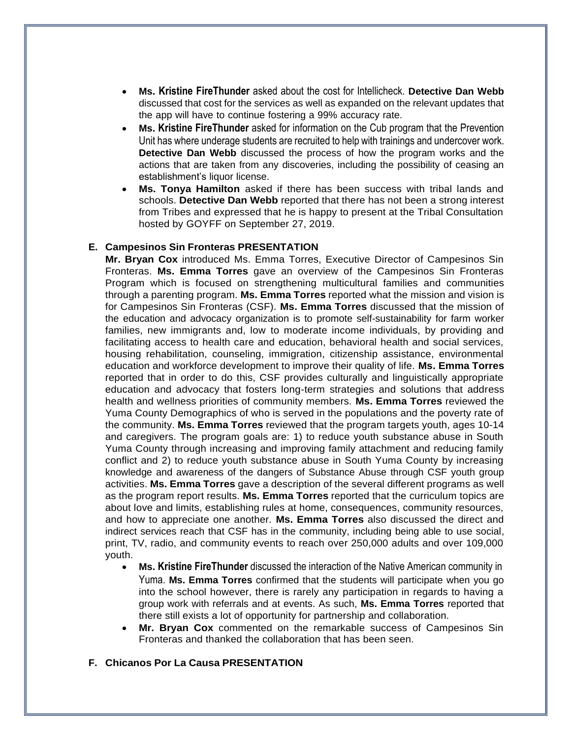- **Ms. Kristine FireThunder** asked about the cost for Intellicheck. **Detective Dan Webb** discussed that cost for the services as well as expanded on the relevant updates that the app will have to continue fostering a 99% accuracy rate.
- **Ms. Kristine FireThunder** asked for information on the Cub program that the Prevention Unit has where underage students are recruited to help with trainings and undercover work. **Detective Dan Webb** discussed the process of how the program works and the actions that are taken from any discoveries, including the possibility of ceasing an establishment's liquor license.
- **Ms. Tonya Hamilton** asked if there has been success with tribal lands and schools. **Detective Dan Webb** reported that there has not been a strong interest from Tribes and expressed that he is happy to present at the Tribal Consultation hosted by GOYFF on September 27, 2019.

### **E. Campesinos Sin Fronteras PRESENTATION**

**Mr. Bryan Cox** introduced Ms. Emma Torres, Executive Director of Campesinos Sin Fronteras. **Ms. Emma Torres** gave an overview of the Campesinos Sin Fronteras Program which is focused on strengthening multicultural families and communities through a parenting program. **Ms. Emma Torres** reported what the mission and vision is for Campesinos Sin Fronteras (CSF). **Ms. Emma Torres** discussed that the mission of the education and advocacy organization is to promote self-sustainability for farm worker families, new immigrants and, low to moderate income individuals, by providing and facilitating access to health care and education, behavioral health and social services, housing rehabilitation, counseling, immigration, citizenship assistance, environmental education and workforce development to improve their quality of life. **Ms. Emma Torres** reported that in order to do this, CSF provides culturally and linguistically appropriate education and advocacy that fosters long-term strategies and solutions that address health and wellness priorities of community members. **Ms. Emma Torres** reviewed the Yuma County Demographics of who is served in the populations and the poverty rate of the community. **Ms. Emma Torres** reviewed that the program targets youth, ages 10-14 and caregivers. The program goals are: 1) to reduce youth substance abuse in South Yuma County through increasing and improving family attachment and reducing family conflict and 2) to reduce youth substance abuse in South Yuma County by increasing knowledge and awareness of the dangers of Substance Abuse through CSF youth group activities. **Ms. Emma Torres** gave a description of the several different programs as well as the program report results. **Ms. Emma Torres** reported that the curriculum topics are about love and limits, establishing rules at home, consequences, community resources, and how to appreciate one another. **Ms. Emma Torres** also discussed the direct and indirect services reach that CSF has in the community, including being able to use social, print, TV, radio, and community events to reach over 250,000 adults and over 109,000 youth.

- **Ms. Kristine FireThunder** discussed the interaction of the Native American community in Yuma. **Ms. Emma Torres** confirmed that the students will participate when you go into the school however, there is rarely any participation in regards to having a group work with referrals and at events. As such, **Ms. Emma Torres** reported that there still exists a lot of opportunity for partnership and collaboration.
- **Mr. Bryan Cox** commented on the remarkable success of Campesinos Sin Fronteras and thanked the collaboration that has been seen.
- **F. Chicanos Por La Causa PRESENTATION**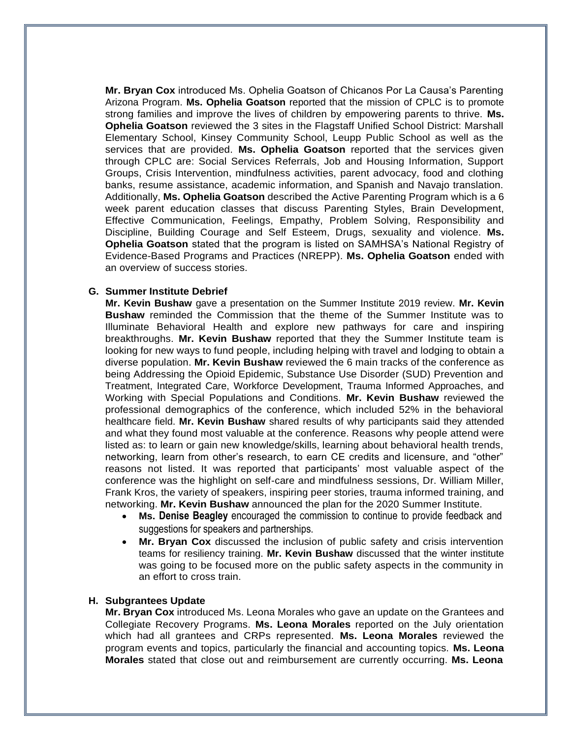**Mr. Bryan Cox** introduced Ms. Ophelia Goatson of Chicanos Por La Causa's Parenting Arizona Program. **Ms. Ophelia Goatson** reported that the mission of CPLC is to promote strong families and improve the lives of children by empowering parents to thrive. **Ms. Ophelia Goatson** reviewed the 3 sites in the Flagstaff Unified School District: Marshall Elementary School, Kinsey Community School, Leupp Public School as well as the services that are provided. **Ms. Ophelia Goatson** reported that the services given through CPLC are: Social Services Referrals, Job and Housing Information, Support Groups, Crisis Intervention, mindfulness activities, parent advocacy, food and clothing banks, resume assistance, academic information, and Spanish and Navajo translation. Additionally, **Ms. Ophelia Goatson** described the Active Parenting Program which is a 6 week parent education classes that discuss Parenting Styles, Brain Development, Effective Communication, Feelings, Empathy, Problem Solving, Responsibility and Discipline, Building Courage and Self Esteem, Drugs, sexuality and violence. **Ms. Ophelia Goatson** stated that the program is listed on SAMHSA's National Registry of Evidence-Based Programs and Practices (NREPP). **Ms. Ophelia Goatson** ended with an overview of success stories.

### **G. Summer Institute Debrief**

**Mr. Kevin Bushaw** gave a presentation on the Summer Institute 2019 review. **Mr. Kevin Bushaw** reminded the Commission that the theme of the Summer Institute was to Illuminate Behavioral Health and explore new pathways for care and inspiring breakthroughs. **Mr. Kevin Bushaw** reported that they the Summer Institute team is looking for new ways to fund people, including helping with travel and lodging to obtain a diverse population. **Mr. Kevin Bushaw** reviewed the 6 main tracks of the conference as being Addressing the Opioid Epidemic, Substance Use Disorder (SUD) Prevention and Treatment, Integrated Care, Workforce Development, Trauma Informed Approaches, and Working with Special Populations and Conditions. **Mr. Kevin Bushaw** reviewed the professional demographics of the conference, which included 52% in the behavioral healthcare field. **Mr. Kevin Bushaw** shared results of why participants said they attended and what they found most valuable at the conference. Reasons why people attend were listed as: to learn or gain new knowledge/skills, learning about behavioral health trends, networking, learn from other's research, to earn CE credits and licensure, and "other" reasons not listed. It was reported that participants' most valuable aspect of the conference was the highlight on self-care and mindfulness sessions, Dr. William Miller, Frank Kros, the variety of speakers, inspiring peer stories, trauma informed training, and networking. **Mr. Kevin Bushaw** announced the plan for the 2020 Summer Institute.

- **Ms. Denise Beagley** encouraged the commission to continue to provide feedback and suggestions for speakers and partnerships.
- **Mr. Bryan Cox** discussed the inclusion of public safety and crisis intervention teams for resiliency training. **Mr. Kevin Bushaw** discussed that the winter institute was going to be focused more on the public safety aspects in the community in an effort to cross train.

#### **H. Subgrantees Update**

**Mr. Bryan Cox** introduced Ms. Leona Morales who gave an update on the Grantees and Collegiate Recovery Programs. **Ms. Leona Morales** reported on the July orientation which had all grantees and CRPs represented. **Ms. Leona Morales** reviewed the program events and topics, particularly the financial and accounting topics. **Ms. Leona Morales** stated that close out and reimbursement are currently occurring. **Ms. Leona**